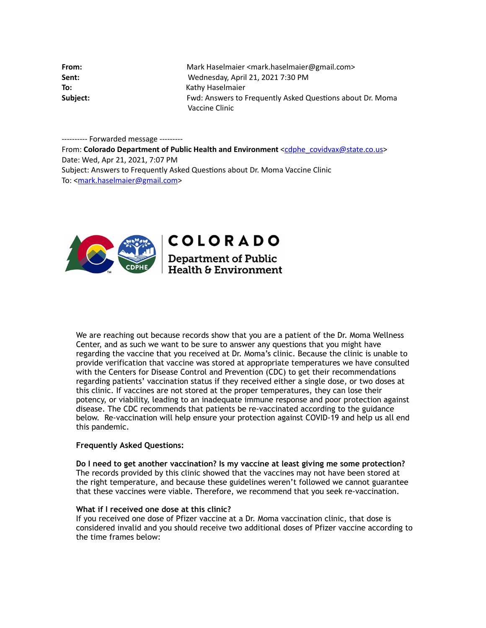| From:    | Mark Haselmaier <mark.haselmaier@gmail.com></mark.haselmaier@gmail.com> |
|----------|-------------------------------------------------------------------------|
| Sent:    | Wednesday, April 21, 2021 7:30 PM                                       |
| To:      | Kathy Haselmaier                                                        |
| Subject: | Fwd: Answers to Frequently Asked Questions about Dr. Moma               |
|          | Vaccine Clinic                                                          |

---------- Forwarded message --------- From: **Colorado Department of Public Health and Environment** <[cdphe\\_covidvax@state.co.us>](mailto:cdphe_covidvax@state.co.us) Date: Wed, Apr 21, 2021, 7:07 PM Subject: Answers to Frequently Asked Questions about Dr. Moma Vaccine Clinic To: [<mark.haselmaier@gmail.com](mailto:mark.haselmaier@gmail.com)>



**COLORADO** 

**Department of Public Health & Environment** 

We are reaching out because records show that you are a patient of the Dr. Moma Wellness Center, and as such we want to be sure to answer any questions that you might have regarding the vaccine that you received at Dr. Moma's clinic. Because the clinic is unable to provide verification that vaccine was stored at appropriate temperatures we have consulted with the Centers for Disease Control and Prevention (CDC) to get their recommendations regarding patients' vaccination status if they received either a single dose, or two doses at this clinic. If vaccines are not stored at the proper temperatures, they can lose their potency, or viability, leading to an inadequate immune response and poor protection against disease. The CDC recommends that patients be re-vaccinated according to the guidance below. Re-vaccination will help ensure your protection against COVID-19 and help us all end this pandemic.

### **Frequently Asked Questions:**

**Do I need to get another vaccination? Is my vaccine at least giving me some protection?** The records provided by this clinic showed that the vaccines may not have been stored at the right temperature, and because these guidelines weren't followed we cannot guarantee that these vaccines were viable. Therefore, we recommend that you seek re-vaccination.

# **What if I received one dose at this clinic?**

If you received one dose of Pfizer vaccine at a Dr. Moma vaccination clinic, that dose is considered invalid and you should receive two additional doses of Pfizer vaccine according to the time frames below: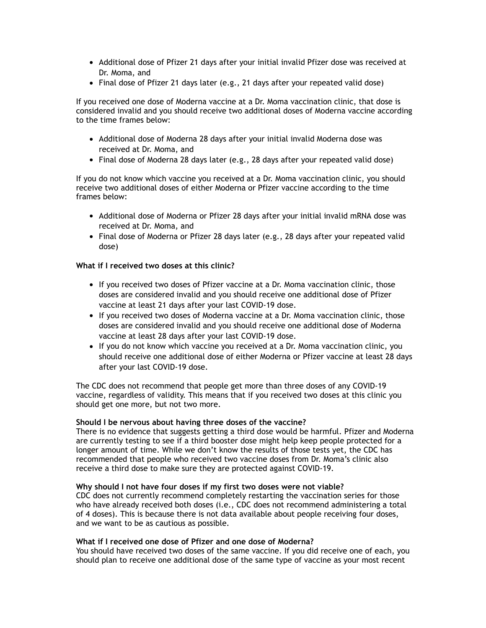- Additional dose of Pfizer 21 days after your initial invalid Pfizer dose was received at Dr. Moma, and
- Final dose of Pfizer 21 days later (e.g., 21 days after your repeated valid dose)

If you received one dose of Moderna vaccine at a Dr. Moma vaccination clinic, that dose is considered invalid and you should receive two additional doses of Moderna vaccine according to the time frames below:

- Additional dose of Moderna 28 days after your initial invalid Moderna dose was received at Dr. Moma, and
- Final dose of Moderna 28 days later (e.g., 28 days after your repeated valid dose)

If you do not know which vaccine you received at a Dr. Moma vaccination clinic, you should receive two additional doses of either Moderna or Pfizer vaccine according to the time frames below:

- Additional dose of Moderna or Pfizer 28 days after your initial invalid mRNA dose was received at Dr. Moma, and
- Final dose of Moderna or Pfizer 28 days later (e.g., 28 days after your repeated valid dose)

### **What if I received two doses at this clinic?**

- If you received two doses of Pfizer vaccine at a Dr. Moma vaccination clinic, those doses are considered invalid and you should receive one additional dose of Pfizer vaccine at least 21 days after your last COVID-19 dose.
- If you received two doses of Moderna vaccine at a Dr. Moma vaccination clinic, those doses are considered invalid and you should receive one additional dose of Moderna vaccine at least 28 days after your last COVID-19 dose.
- If you do not know which vaccine you received at a Dr. Moma vaccination clinic, you should receive one additional dose of either Moderna or Pfizer vaccine at least 28 days after your last COVID-19 dose.

The CDC does not recommend that people get more than three doses of any COVID-19 vaccine, regardless of validity. This means that if you received two doses at this clinic you should get one more, but not two more.

### **Should I be nervous about having three doses of the vaccine?**

There is no evidence that suggests getting a third dose would be harmful. Pfizer and Moderna are currently testing to see if a third booster dose might help keep people protected for a longer amount of time. While we don't know the results of those tests yet, the CDC has recommended that people who received two vaccine doses from Dr. Moma's clinic also receive a third dose to make sure they are protected against COVID-19.

### **Why should I not have four doses if my first two doses were not viable?**

CDC does not currently recommend completely restarting the vaccination series for those who have already received both doses (i.e., CDC does not recommend administering a total of 4 doses). This is because there is not data available about people receiving four doses, and we want to be as cautious as possible.

# **What if I received one dose of Pfizer and one dose of Moderna?**

You should have received two doses of the same vaccine. If you did receive one of each, you should plan to receive one additional dose of the same type of vaccine as your most recent